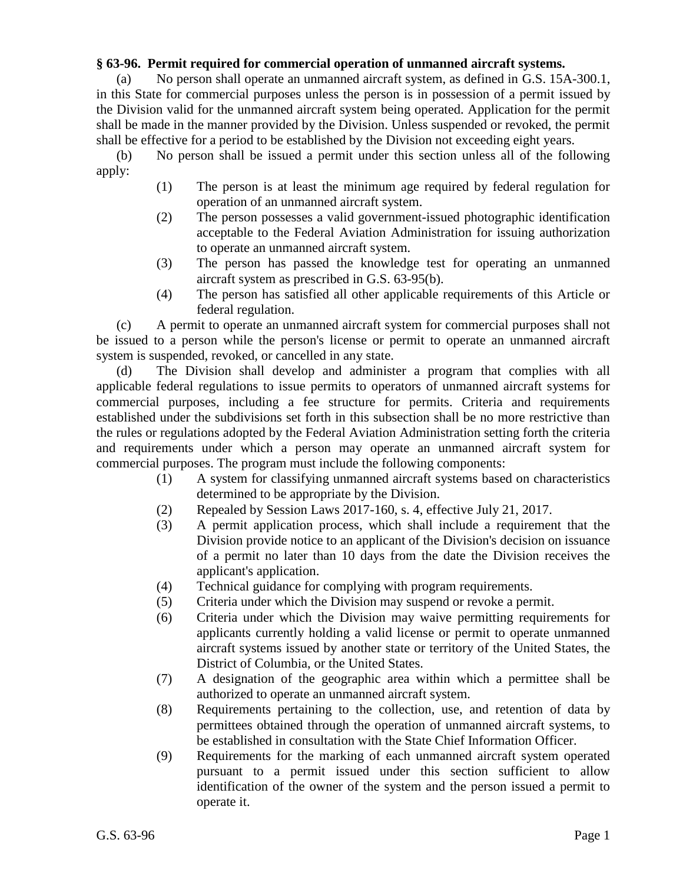## **§ 63-96. Permit required for commercial operation of unmanned aircraft systems.**

(a) No person shall operate an unmanned aircraft system, as defined in G.S. 15A-300.1, in this State for commercial purposes unless the person is in possession of a permit issued by the Division valid for the unmanned aircraft system being operated. Application for the permit shall be made in the manner provided by the Division. Unless suspended or revoked, the permit shall be effective for a period to be established by the Division not exceeding eight years.

(b) No person shall be issued a permit under this section unless all of the following apply:

- (1) The person is at least the minimum age required by federal regulation for operation of an unmanned aircraft system.
- (2) The person possesses a valid government-issued photographic identification acceptable to the Federal Aviation Administration for issuing authorization to operate an unmanned aircraft system.
- (3) The person has passed the knowledge test for operating an unmanned aircraft system as prescribed in G.S. 63-95(b).
- (4) The person has satisfied all other applicable requirements of this Article or federal regulation.

(c) A permit to operate an unmanned aircraft system for commercial purposes shall not be issued to a person while the person's license or permit to operate an unmanned aircraft system is suspended, revoked, or cancelled in any state.

(d) The Division shall develop and administer a program that complies with all applicable federal regulations to issue permits to operators of unmanned aircraft systems for commercial purposes, including a fee structure for permits. Criteria and requirements established under the subdivisions set forth in this subsection shall be no more restrictive than the rules or regulations adopted by the Federal Aviation Administration setting forth the criteria and requirements under which a person may operate an unmanned aircraft system for commercial purposes. The program must include the following components:

- (1) A system for classifying unmanned aircraft systems based on characteristics determined to be appropriate by the Division.
- (2) Repealed by Session Laws 2017-160, s. 4, effective July 21, 2017.
- (3) A permit application process, which shall include a requirement that the Division provide notice to an applicant of the Division's decision on issuance of a permit no later than 10 days from the date the Division receives the applicant's application.
- (4) Technical guidance for complying with program requirements.
- (5) Criteria under which the Division may suspend or revoke a permit.
- (6) Criteria under which the Division may waive permitting requirements for applicants currently holding a valid license or permit to operate unmanned aircraft systems issued by another state or territory of the United States, the District of Columbia, or the United States.
- (7) A designation of the geographic area within which a permittee shall be authorized to operate an unmanned aircraft system.
- (8) Requirements pertaining to the collection, use, and retention of data by permittees obtained through the operation of unmanned aircraft systems, to be established in consultation with the State Chief Information Officer.
- (9) Requirements for the marking of each unmanned aircraft system operated pursuant to a permit issued under this section sufficient to allow identification of the owner of the system and the person issued a permit to operate it.